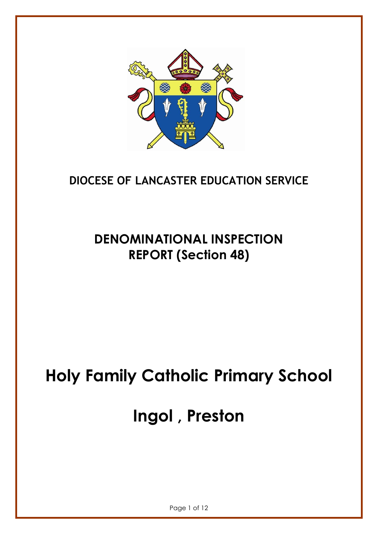

# **DIOCESE OF LANCASTER EDUCATION SERVICE**

# **DENOMINATIONAL INSPECTION REPORT (Section 48)**

# **Holy Family Catholic Primary School**

# **Ingol , Preston**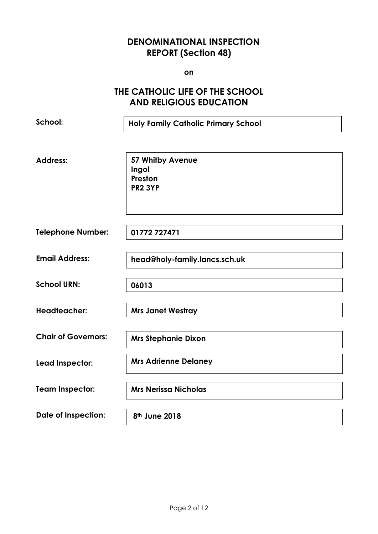# **DENOMINATIONAL INSPECTION REPORT (Section 48)**

**on**

# **THE CATHOLIC LIFE OF THE SCHOOL AND RELIGIOUS EDUCATION**

**School: Address: Telephone Number: Email Address: School URN: Headteacher: Chair of Governors: Lead Inspector: Team Inspector: Date of Inspection: Holy Family Catholic Primary School 57 Whitby Avenue Ingol Preston PR2 3YP 01772 727471 head@holy-family.lancs.sch.uk 06013 Mrs Janet Westray Mrs Stephanie Dixon Mrs Adrienne Delaney Mrs Nerissa Nicholas 8th June 2018**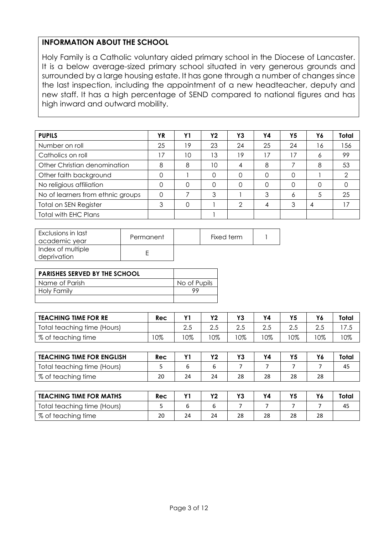#### **INFORMATION ABOUT THE SCHOOL**

Holy Family is a Catholic voluntary aided primary school in the Diocese of Lancaster. It is a below average-sized primary school situated in very generous grounds and surrounded by a large housing estate. It has gone through a number of changes since the last inspection, including the appointment of a new headteacher, deputy and new staff. It has a high percentage of SEND compared to national figures and has high inward and outward mobility.

| <b>PUPILS</b>                     | ΥR              | Υ1 | <b>Y2</b> | Y3 | Υ4       | Υ5       | Υ6 | Total |
|-----------------------------------|-----------------|----|-----------|----|----------|----------|----|-------|
| Number on roll                    | 25              | 19 | 23        | 24 | 25       | 24       | 16 | 56    |
| Catholics on roll                 | $\overline{17}$ | 10 | 13        | 19 | 17       | 17       | 6  | 99    |
| Other Christian denomination      | 8               | 8  | 10        | 4  | 8        |          | 8  | 53    |
| Other faith background            |                 |    | ი         |    | $\Omega$ | $\Omega$ |    | ◠     |
| No religious affiliation          |                 |    |           | 0  | $\Omega$ | $\Omega$ | 0  |       |
| No of learners from ethnic groups | 0               |    | 3         |    | 3        | 6        | 5  | 25    |
| <b>Total on SEN Register</b>      | 3               |    |           | ∩  | 4        | 3        | 4  | 17    |
| Total with EHC Plans              |                 |    |           |    |          |          |    |       |

| <b>Exclusions in last</b><br>  academic year | Permanent | Fixed term |  |
|----------------------------------------------|-----------|------------|--|
| Index of multiple<br>deprivation             |           |            |  |

| <b>PARISHES SERVED BY THE SCHOOL</b> |              |
|--------------------------------------|--------------|
| Name of Parish                       | No of Pupils |
| <b>Holy Family</b>                   | QQ           |
|                                      |              |

| <b>TEACHING TIME FOR RE</b> | Rec |      | νŋ  | V <sub>2</sub> | Υ4    | Υ5   |     | Total  |
|-----------------------------|-----|------|-----|----------------|-------|------|-----|--------|
| Total teaching time (Hours) |     | ر. 2 | ے ۔ | ت. ک           | ے . ک | ت. ک | Z.J | د. /   |
| % of teaching time          | 0%  | 0%   | 0%  | 0%             | 0%    | 0%   | 0%  | $10\%$ |

| <b>TEACHING TIME FOR ENGLISH</b> | Rec |    | <b>VO</b> | V2 | Υ4 | Υ5 | Y6 | Total |
|----------------------------------|-----|----|-----------|----|----|----|----|-------|
| Total teaching time (Hours)      |     |    |           |    |    |    |    | 45    |
| % of teaching time               | 20  | 24 | 24        | 28 | 28 | 28 | 28 |       |

| <b>TEACHING TIME FOR MATHS</b> | Rec |    | vn | v. | Υ4 | Υ5 | Υ6 | Total |
|--------------------------------|-----|----|----|----|----|----|----|-------|
| Total teaching time (Hours)    |     |    |    |    |    |    |    | 45    |
| % of teaching time             | 20  | 24 | 24 | 28 | 28 | 28 | 28 |       |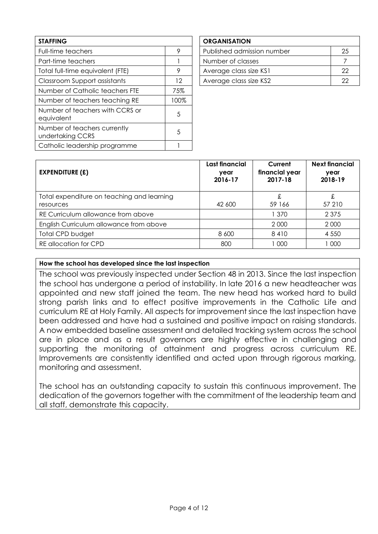| <b>STAFFING</b>                                  |      |
|--------------------------------------------------|------|
| <b>Full-time teachers</b>                        | 9    |
| Part-time teachers                               |      |
| Total full-time equivalent (FTE)                 | 9    |
| Classroom Support assistants                     | 12   |
| Number of Catholic teachers FTE                  | 75%  |
| Number of teachers teaching RE                   | 100% |
| Number of teachers with CCRS or<br>equivalent    | 5    |
| Number of teachers currently<br>undertaking CCRS | 5    |
| Catholic leadership programme                    |      |

## **ORGANISATION** Published admission number 25 Part-time teachers 1 Number of classes 1 2 Number of classes Average class size KS1 22 Average class size KS2 22

| <b>EXPENDITURE (£)</b>                                  | Last financial<br>year<br>2016-17 | Current<br>financial year<br>2017-18 | <b>Next financial</b><br>year<br>2018-19 |
|---------------------------------------------------------|-----------------------------------|--------------------------------------|------------------------------------------|
| Total expenditure on teaching and learning<br>resources | 42 600                            | £<br>59 166                          | £<br>57 210                              |
| RE Curriculum allowance from above                      |                                   | l 370                                | 2 3 7 5                                  |
| English Curriculum allowance from above                 |                                   | 2 0 0 0                              | 2 0 0 0                                  |
| Total CPD budget                                        | 8 600                             | 8410                                 | 4 5 5 0                                  |
| RE allocation for CPD                                   | 800                               | 1 000                                | 1 000                                    |

#### **How the school has developed since the last inspection**

The school was previously inspected under Section 48 in 2013. Since the last inspection the school has undergone a period of instability. In late 2016 a new headteacher was appointed and new staff joined the team. The new head has worked hard to build strong parish links and to effect positive improvements in the Catholic Life and curriculum RE at Holy Family. All aspects for improvement since the last inspection have been addressed and have had a sustained and positive impact on raising standards. A now embedded baseline assessment and detailed tracking system across the school are in place and as a result governors are highly effective in challenging and supporting the monitoring of attainment and progress across curriculum RE. Improvements are consistently identified and acted upon through rigorous marking, monitoring and assessment.

The school has an outstanding capacity to sustain this continuous improvement. The dedication of the governors together with the commitment of the leadership team and all staff, demonstrate this capacity.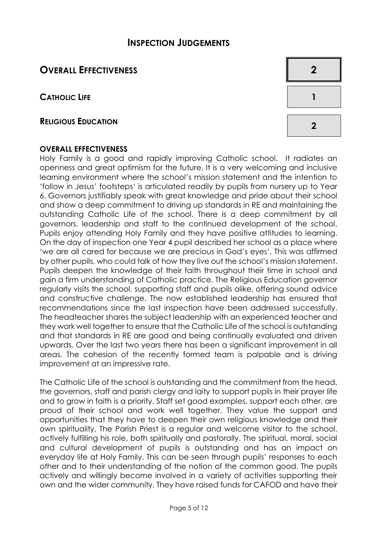## **INSPECTION JUDGEMENTS**

# **OVERALL EFFECTIVENESS 2**

**CATHOLIC LIFE 1**

# **<sup>R</sup>ELIGIOUS EDUCATION <sup>2</sup>**

#### **OVERALL EFFECTIVENESS**

Holy Family is a good and rapidly improving Catholic school. It radiates an openness and great optimism for the future. It is a very welcoming and inclusive learning environment where the school's mission statement and the intention to 'follow in Jesus' footsteps' is articulated readily by pupils from nursery up to Year 6. Governors justifiably speak with great knowledge and pride about their school and show a deep commitment to driving up standards in RE and maintaining the outstanding Catholic Life of the school. There is a deep commitment by all governors, leadership and staff to the continued development of the school. Pupils enjoy attending Holy Family and they have positive attitudes to learning. On the day of inspection one Year 4 pupil described her school as a place where 'we are all cared for because we are precious in God's eyes'. This was affirmed by other pupils, who could talk of how they live out the school's mission statement. Pupils deepen the knowledge of their faith throughout their time in school and gain a firm understanding of Catholic practice. The Religious Education governor regularly visits the school, supporting staff and pupils alike, offering sound advice and constructive challenge. The now established leadership has ensured that recommendations since the last inspection have been addressed successfully. The headteacher shares the subject leadership with an experienced teacher and they work well together to ensure that the Catholic Life of the school is outstanding and that standards in RE are good and being continually evaluated and driven upwards. Over the last two years there has been a significant improvement in all areas. The cohesion of the recently formed team is palpable and is driving improvement at an impressive rate.

The Catholic Life of the school is outstanding and the commitment from the head, the governors, staff and parish clergy and laity to support pupils in their prayer life and to grow in faith is a priority. Staff set good examples, support each other, are proud of their school and work well together. They value the support and opportunities that they have to deepen their own religious knowledge and their own spirituality. The Parish Priest is a regular and welcome visitor to the school, actively fulfilling his role, both spiritually and pastorally. The spiritual, moral, social and cultural development of pupils is outstanding and has an impact on everyday life at Holy Family. This can be seen through pupils' responses to each other and to their understanding of the notion of the common good. The pupils actively and willingly become involved in a variety of activities supporting their own and the wider community. They have raised funds for CAFOD and have their

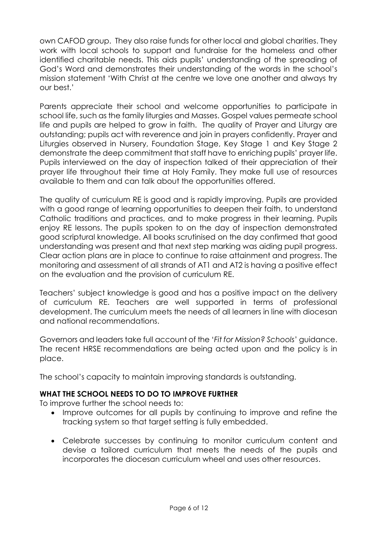own CAFOD group. They also raise funds for other local and global charities. They work with local schools to support and fundraise for the homeless and other identified charitable needs. This aids pupils' understanding of the spreading of God's Word and demonstrates their understanding of the words in the school's mission statement 'With Christ at the centre we love one another and always try our best.'

Parents appreciate their school and welcome opportunities to participate in school life, such as the family liturgies and Masses. Gospel values permeate school life and pupils are helped to grow in faith. The quality of Prayer and Liturgy are outstanding; pupils act with reverence and join in prayers confidently. Prayer and Liturgies observed in Nursery, Foundation Stage, Key Stage 1 and Key Stage 2 demonstrate the deep commitment that staff have to enriching pupils' prayer life. Pupils interviewed on the day of inspection talked of their appreciation of their prayer life throughout their time at Holy Family. They make full use of resources available to them and can talk about the opportunities offered.

The quality of curriculum RE is good and is rapidly improving. Pupils are provided with a good range of learning opportunities to deepen their faith, to understand Catholic traditions and practices, and to make progress in their learning. Pupils enjoy RE lessons. The pupils spoken to on the day of inspection demonstrated good scriptural knowledge. All books scrutinised on the day confirmed that good understanding was present and that next step marking was aiding pupil progress. Clear action plans are in place to continue to raise attainment and progress. The monitoring and assessment of all strands of AT1 and AT2 is having a positive effect on the evaluation and the provision of curriculum RE.

Teachers' subject knowledge is good and has a positive impact on the delivery of curriculum RE. Teachers are well supported in terms of professional development. The curriculum meets the needs of all learners in line with diocesan and national recommendations.

Governors and leaders take full account of the '*Fit for Mission? Schools*' guidance. The recent HRSE recommendations are being acted upon and the policy is in place.

The school's capacity to maintain improving standards is outstanding.

#### **WHAT THE SCHOOL NEEDS TO DO TO IMPROVE FURTHER**

To improve further the school needs to:

- Improve outcomes for all pupils by continuing to improve and refine the tracking system so that target setting is fully embedded.
- Celebrate successes by continuing to monitor curriculum content and devise a tailored curriculum that meets the needs of the pupils and incorporates the diocesan curriculum wheel and uses other resources.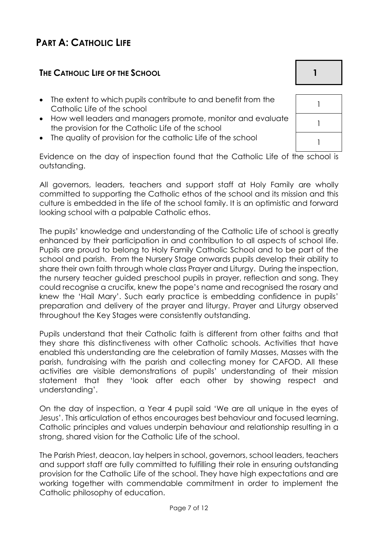# **PART A: CATHOLIC LIFE**

### **THE CATHOLIC LIFE OF THE SCHOOL 1**

- The extent to which pupils contribute to and benefit from the Catholic Life of the school
- How well leaders and managers promote, monitor and evaluate the provision for the Catholic Life of the school
- The quality of provision for the catholic Life of the school

Evidence on the day of inspection found that the Catholic Life of the school is outstanding.

All governors, leaders, teachers and support staff at Holy Family are wholly committed to supporting the Catholic ethos of the school and its mission and this culture is embedded in the life of the school family. It is an optimistic and forward looking school with a palpable Catholic ethos.

The pupils' knowledge and understanding of the Catholic Life of school is greatly enhanced by their participation in and contribution to all aspects of school life. Pupils are proud to belong to Holy Family Catholic School and to be part of the school and parish. From the Nursery Stage onwards pupils develop their ability to share their own faith through whole class Prayer and Liturgy. During the inspection, the nursery teacher guided preschool pupils in prayer, reflection and song. They could recognise a crucifix, knew the pope's name and recognised the rosary and knew the 'Hail Mary'. Such early practice is embedding confidence in pupils' preparation and delivery of the prayer and liturgy. Prayer and Liturgy observed throughout the Key Stages were consistently outstanding.

Pupils understand that their Catholic faith is different from other faiths and that they share this distinctiveness with other Catholic schools. Activities that have enabled this understanding are the celebration of family Masses, Masses with the parish, fundraising with the parish and collecting money for CAFOD. All these activities are visible demonstrations of pupils' understanding of their mission statement that they 'look after each other by showing respect and understanding'.

On the day of inspection, a Year 4 pupil said 'We are all unique in the eyes of Jesus'. This articulation of ethos encourages best behaviour and focused learning. Catholic principles and values underpin behaviour and relationship resulting in a strong, shared vision for the Catholic Life of the school.

The Parish Priest, deacon, lay helpers in school, governors, school leaders, teachers and support staff are fully committed to fulfilling their role in ensuring outstanding provision for the Catholic Life of the school. They have high expectations and are working together with commendable commitment in order to implement the Catholic philosophy of education.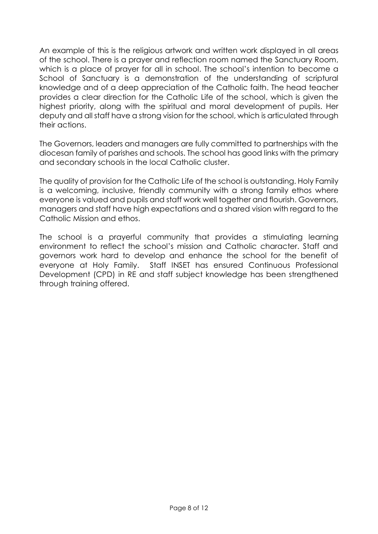An example of this is the religious artwork and written work displayed in all areas of the school. There is a prayer and reflection room named the Sanctuary Room, which is a place of prayer for all in school. The school's intention to become a School of Sanctuary is a demonstration of the understanding of scriptural knowledge and of a deep appreciation of the Catholic faith. The head teacher provides a clear direction for the Catholic Life of the school, which is given the highest priority, along with the spiritual and moral development of pupils. Her deputy and all staff have a strong vision for the school, which is articulated through their actions.

The Governors, leaders and managers are fully committed to partnerships with the diocesan family of parishes and schools. The school has good links with the primary and secondary schools in the local Catholic cluster.

The quality of provision for the Catholic Life of the school is outstanding. Holy Family is a welcoming, inclusive, friendly community with a strong family ethos where everyone is valued and pupils and staff work well together and flourish. Governors, managers and staff have high expectations and a shared vision with regard to the Catholic Mission and ethos.

The school is a prayerful community that provides a stimulating learning environment to reflect the school's mission and Catholic character. Staff and governors work hard to develop and enhance the school for the benefit of everyone at Holy Family. Staff INSET has ensured Continuous Professional Development (CPD) in RE and staff subject knowledge has been strengthened through training offered.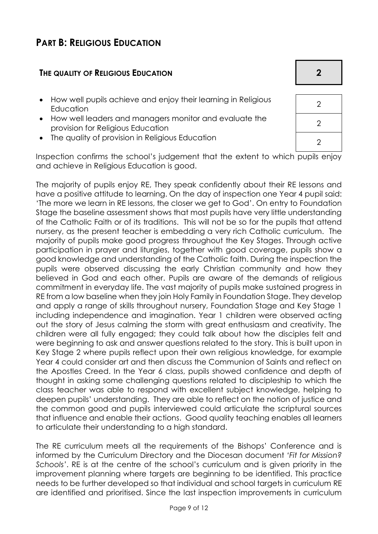# **PART B: RELIGIOUS EDUCATION**

#### **THE QUALITY OF RELIGIOUS EDUCATION 2**

- How well pupils achieve and enjoy their learning in Religious Education <sup>2</sup>
- How well leaders and managers monitor and evaluate the provision for Religious Education
- The quality of provision in Religious Education  $\begin{array}{ccc} \hline & 2 & \end{array}$

Inspection confirms the school's judgement that the extent to which pupils enjoy and achieve in Religious Education is good.

The majority of pupils enjoy RE, They speak confidently about their RE lessons and have a positive attitude to learning. On the day of inspection one Year 4 pupil said: 'The more we learn in RE lessons, the closer we get to God'. On entry to Foundation Stage the baseline assessment shows that most pupils have very little understanding of the Catholic Faith or of its traditions. This will not be so for the pupils that attend nursery, as the present teacher is embedding a very rich Catholic curriculum. The majority of pupils make good progress throughout the Key Stages. Through active participation in prayer and liturgies, together with good coverage, pupils show a good knowledge and understanding of the Catholic faith. During the inspection the pupils were observed discussing the early Christian community and how they believed in God and each other. Pupils are aware of the demands of religious commitment in everyday life. The vast majority of pupils make sustained progress in RE from a low baseline when they join Holy Family in Foundation Stage. They develop and apply a range of skills throughout nursery, Foundation Stage and Key Stage 1 including independence and imagination. Year 1 children were observed acting out the story of Jesus calming the storm with great enthusiasm and creativity. The children were all fully engaged; they could talk about how the disciples felt and were beginning to ask and answer questions related to the story. This is built upon in Key Stage 2 where pupils reflect upon their own religious knowledge, for example Year 4 could consider art and then discuss the Communion of Saints and reflect on the Apostles Creed. In the Year 6 class, pupils showed confidence and depth of thought in asking some challenging questions related to discipleship to which the class teacher was able to respond with excellent subject knowledge, helping to deepen pupils' understanding. They are able to reflect on the notion of justice and the common good and pupils interviewed could articulate the scriptural sources that influence and enable their actions. Good quality teaching enables all learners to articulate their understanding to a high standard.

The RE curriculum meets all the requirements of the Bishops' Conference and is informed by the Curriculum Directory and the Diocesan document *'Fit for Mission? Schools'*. RE is at the centre of the school's curriculum and is given priority in the improvement planning where targets are beginning to be identified. This practice needs to be further developed so that individual and school targets in curriculum RE are identified and prioritised. Since the last inspection improvements in curriculum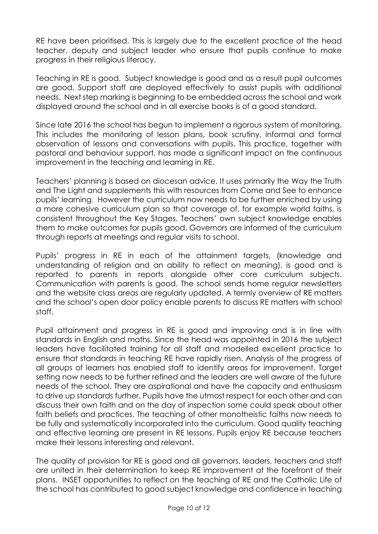RE have been prioritised. This is largely due to the excellent practice of the head teacher, deputy and subject leader who ensure that pupils continue to make progress in their religious literacy.

Teaching in RE is good. Subject knowledge is good and as a result pupil outcomes are good. Support staff are deployed effectively to assist pupils with additional needs. Next step marking is beginning to be embedded across the school and work displayed around the school and in all exercise books is of a good standard.

Since late 2016 the school has begun to implement a rigorous system of monitoring. This includes the monitoring of lesson plans, book scrutiny, informal and formal observation of lessons and conversations with pupils. This practice, together with pastoral and behaviour support, has made a significant impact on the continuous improvement in the teaching and learning in RE.

Teachers' planning is based on diocesan advice. It uses primarily the Way the Truth and The Light and supplements this with resources from Come and See to enhance pupils' learning. However the curriculum now needs to be further enriched by using a more cohesive curriculum plan so that coverage of, for example world faiths, is consistent throughout the Key Stages. Teachers' own subject knowledge enables them to make outcomes for pupils good. Governors are informed of the curriculum through reports at meetings and regular visits to school.

Pupils' progress in RE in each of the attainment targets, (knowledge and understanding of religion and an ability to reflect on meaning), is good and is reported to parents in reports alongside other core curriculum subjects. Communication with parents is good. The school sends home regular newsletters and the website class areas are regularly updated. A termly overview of RE matters and the school's open door policy enable parents to discuss RE matters with school staff.

Pupil attainment and progress in RE is good and improving and is in line with standards in English and maths. Since the head was appointed in 2016 the subject leaders have facilitated training for all staff and modelled excellent practice to ensure that standards in teaching RE have rapidly risen. Analysis of the progress of all groups of learners has enabled staff to identify areas for improvement. Target setting now needs to be further refined and the leaders are well aware of the future needs of the school. They are aspirational and have the capacity and enthusiasm to drive up standards further. Pupils have the utmost respect for each other and can discuss their own faith and on the day of inspection some could speak about other faith beliefs and practices. The teaching of other monotheistic faiths now needs to be fully and systematically incorporated into the curriculum. Good quality teaching and effective learning are present in RE lessons. Pupils enjoy RE because teachers make their lessons interesting and relevant.

The quality of provision for RE is good and all governors, leaders, teachers and staff are united in their determination to keep RE improvement at the forefront of their plans. INSET opportunities to reflect on the teaching of RE and the Catholic Life of the school has contributed to good subject knowledge and confidence in teaching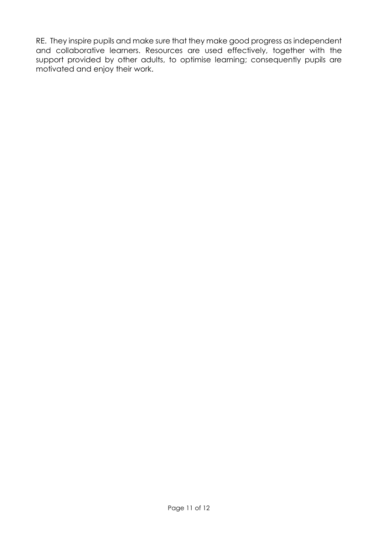RE. They inspire pupils and make sure that they make good progress as independent and collaborative learners. Resources are used effectively, together with the support provided by other adults, to optimise learning; consequently pupils are motivated and enjoy their work.